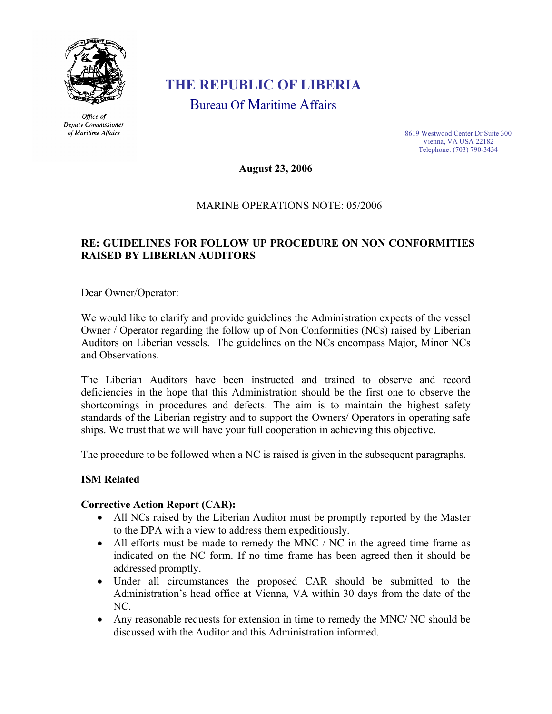

Office of Deputy Commissioner of Maritime Affairs

# **THE REPUBLIC OF LIBERIA**

Bureau Of Maritime Affairs

8619 Westwood Center Dr Suite 300 Vienna, VA USA 22182 Telephone: (703) 790-3434

**August 23, 2006** 

### MARINE OPERATIONS NOTE: 05/2006

## **RE: GUIDELINES FOR FOLLOW UP PROCEDURE ON NON CONFORMITIES RAISED BY LIBERIAN AUDITORS**

Dear Owner/Operator:

We would like to clarify and provide guidelines the Administration expects of the vessel Owner / Operator regarding the follow up of Non Conformities (NCs) raised by Liberian Auditors on Liberian vessels. The guidelines on the NCs encompass Major, Minor NCs and Observations.

The Liberian Auditors have been instructed and trained to observe and record deficiencies in the hope that this Administration should be the first one to observe the shortcomings in procedures and defects. The aim is to maintain the highest safety standards of the Liberian registry and to support the Owners/ Operators in operating safe ships. We trust that we will have your full cooperation in achieving this objective.

The procedure to be followed when a NC is raised is given in the subsequent paragraphs.

#### **ISM Related**

#### **Corrective Action Report (CAR):**

- All NCs raised by the Liberian Auditor must be promptly reported by the Master to the DPA with a view to address them expeditiously.
- All efforts must be made to remedy the MNC / NC in the agreed time frame as indicated on the NC form. If no time frame has been agreed then it should be addressed promptly.
- Under all circumstances the proposed CAR should be submitted to the Administration's head office at Vienna, VA within 30 days from the date of the NC.
- Any reasonable requests for extension in time to remedy the MNC/ NC should be discussed with the Auditor and this Administration informed.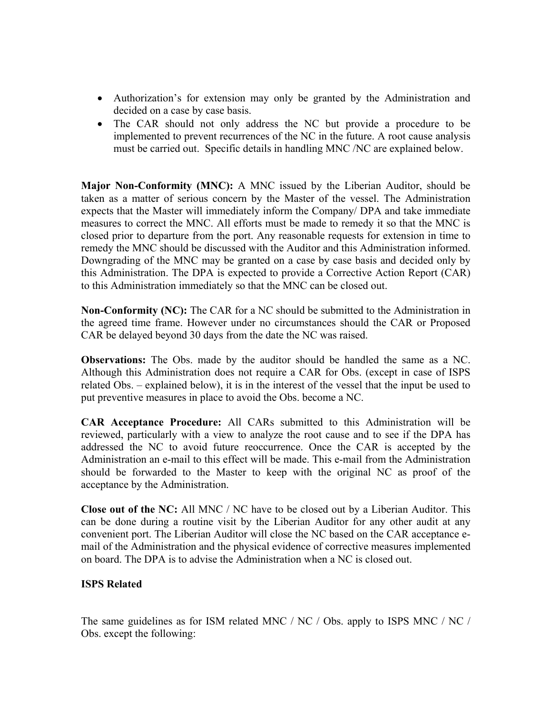- Authorization's for extension may only be granted by the Administration and decided on a case by case basis.
- The CAR should not only address the NC but provide a procedure to be implemented to prevent recurrences of the NC in the future. A root cause analysis must be carried out. Specific details in handling MNC /NC are explained below.

**Major Non-Conformity (MNC):** A MNC issued by the Liberian Auditor, should be taken as a matter of serious concern by the Master of the vessel. The Administration expects that the Master will immediately inform the Company/ DPA and take immediate measures to correct the MNC. All efforts must be made to remedy it so that the MNC is closed prior to departure from the port. Any reasonable requests for extension in time to remedy the MNC should be discussed with the Auditor and this Administration informed. Downgrading of the MNC may be granted on a case by case basis and decided only by this Administration. The DPA is expected to provide a Corrective Action Report (CAR) to this Administration immediately so that the MNC can be closed out.

**Non-Conformity (NC):** The CAR for a NC should be submitted to the Administration in the agreed time frame. However under no circumstances should the CAR or Proposed CAR be delayed beyond 30 days from the date the NC was raised.

**Observations:** The Obs. made by the auditor should be handled the same as a NC. Although this Administration does not require a CAR for Obs. (except in case of ISPS related Obs. – explained below), it is in the interest of the vessel that the input be used to put preventive measures in place to avoid the Obs. become a NC.

**CAR Acceptance Procedure:** All CARs submitted to this Administration will be reviewed, particularly with a view to analyze the root cause and to see if the DPA has addressed the NC to avoid future reoccurrence. Once the CAR is accepted by the Administration an e-mail to this effect will be made. This e-mail from the Administration should be forwarded to the Master to keep with the original NC as proof of the acceptance by the Administration.

**Close out of the NC:** All MNC / NC have to be closed out by a Liberian Auditor. This can be done during a routine visit by the Liberian Auditor for any other audit at any convenient port. The Liberian Auditor will close the NC based on the CAR acceptance email of the Administration and the physical evidence of corrective measures implemented on board. The DPA is to advise the Administration when a NC is closed out.

#### **ISPS Related**

The same guidelines as for ISM related MNC / NC / Obs. apply to ISPS MNC / NC / Obs. except the following: